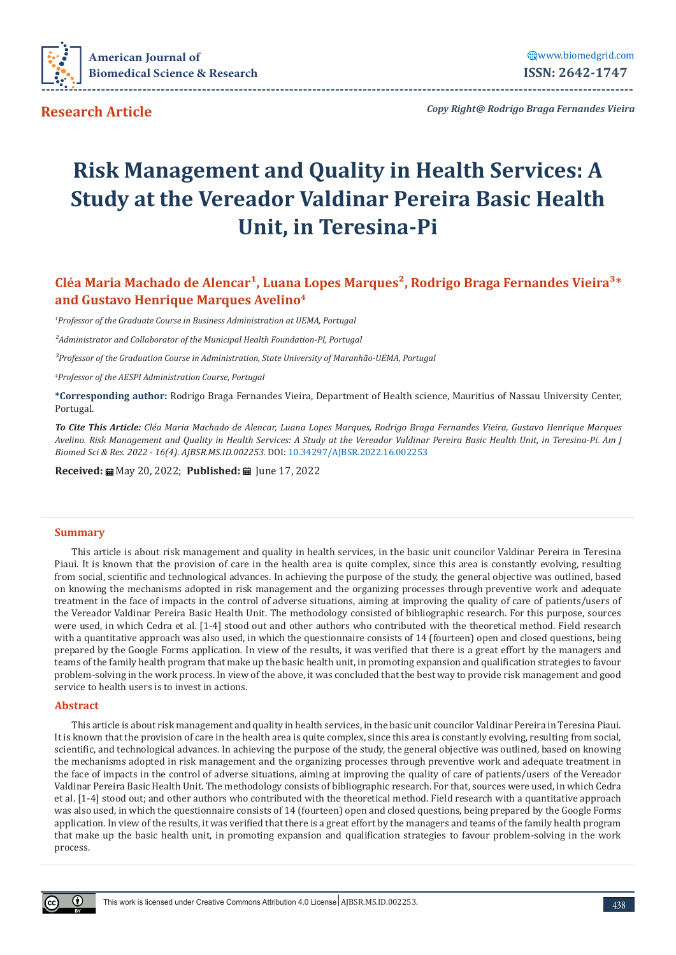

**Research Article**

*Copy Right@ Rodrigo Braga Fernandes Vieira*

**---------------------------------------------------------------------------------------------------------------------------------**

# **Risk Management and Quality in Health Services: A Study at the Vereador Valdinar Pereira Basic Health Unit, in Teresina-Pi**

# Cléa Maria Machado de Alencar<sup>1</sup>, Luana Lopes Marques<sup>2</sup>, Rodrigo Braga Fernandes Vieira<sup>3\*</sup> **and Gustavo Henrique Marques Avelino4**

*1 Professor of the Graduate Course in Business Administration at UEMA, Portugal*

*²Administrator and Collaborator of the Municipal Health Foundation-PI, Portugal*

*³Professor of the Graduation Course in Administration, State University of Maranhão-UEMA, Portugal*

*4 Professor of the AESPI Administration Course, Portugal*

**\*Corresponding author:** Rodrigo Braga Fernandes Vieira, Department of Health science, Mauritius of Nassau University Center, Portugal.

*To Cite This Article: Cléa Maria Machado de Alencar, Luana Lopes Marques, Rodrigo Braga Fernandes Vieira, Gustavo Henrique Marques Avelino. Risk Management and Quality in Health Services: A Study at the Vereador Valdinar Pereira Basic Health Unit, in Teresina-Pi. Am J Biomed Sci & Res. 2022 - 16(4). AJBSR.MS.ID.002253.* DOI: [10.34297/AJBSR.2022.16.002253](http://dx.doi.org/10.34297/AJBSR.2022.16.002253)

**Received:** ■ May 20, 2022; **Published:** ■ June 17, 2022

#### **Summary**

This article is about risk management and quality in health services, in the basic unit councilor Valdinar Pereira in Teresina Piaui. It is known that the provision of care in the health area is quite complex, since this area is constantly evolving, resulting from social, scientific and technological advances. In achieving the purpose of the study, the general objective was outlined, based on knowing the mechanisms adopted in risk management and the organizing processes through preventive work and adequate treatment in the face of impacts in the control of adverse situations, aiming at improving the quality of care of patients/users of the Vereador Valdinar Pereira Basic Health Unit. The methodology consisted of bibliographic research. For this purpose, sources were used, in which Cedra et al. [1-4] stood out and other authors who contributed with the theoretical method. Field research with a quantitative approach was also used, in which the questionnaire consists of 14 (fourteen) open and closed questions, being prepared by the Google Forms application. In view of the results, it was verified that there is a great effort by the managers and teams of the family health program that make up the basic health unit, in promoting expansion and qualification strategies to favour problem-solving in the work process. In view of the above, it was concluded that the best way to provide risk management and good service to health users is to invest in actions.

#### **Abstract**

This article is about risk management and quality in health services, in the basic unit councilor Valdinar Pereira in Teresina Piaui. It is known that the provision of care in the health area is quite complex, since this area is constantly evolving, resulting from social, scientific, and technological advances. In achieving the purpose of the study, the general objective was outlined, based on knowing the mechanisms adopted in risk management and the organizing processes through preventive work and adequate treatment in the face of impacts in the control of adverse situations, aiming at improving the quality of care of patients/users of the Vereador Valdinar Pereira Basic Health Unit. The methodology consists of bibliographic research. For that, sources were used, in which Cedra et al. [1-4] stood out; and other authors who contributed with the theoretical method. Field research with a quantitative approach was also used, in which the questionnaire consists of 14 (fourteen) open and closed questions, being prepared by the Google Forms application. In view of the results, it was verified that there is a great effort by the managers and teams of the family health program that make up the basic health unit, in promoting expansion and qualification strategies to favour problem-solving in the work process.

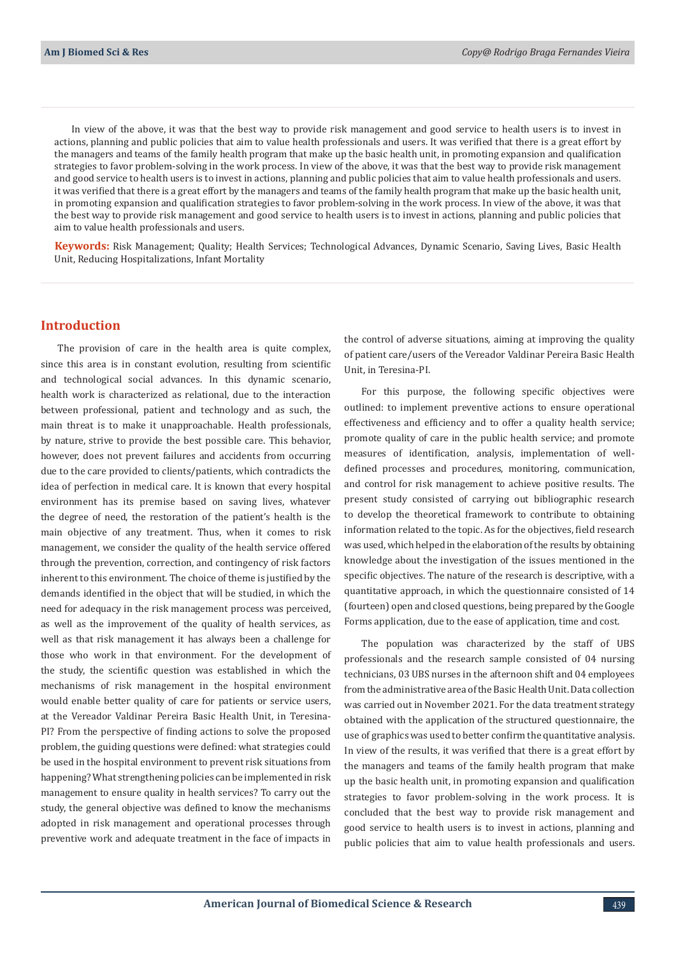In view of the above, it was that the best way to provide risk management and good service to health users is to invest in actions, planning and public policies that aim to value health professionals and users. It was verified that there is a great effort by the managers and teams of the family health program that make up the basic health unit, in promoting expansion and qualification strategies to favor problem-solving in the work process. In view of the above, it was that the best way to provide risk management and good service to health users is to invest in actions, planning and public policies that aim to value health professionals and users. it was verified that there is a great effort by the managers and teams of the family health program that make up the basic health unit, in promoting expansion and qualification strategies to favor problem-solving in the work process. In view of the above, it was that the best way to provide risk management and good service to health users is to invest in actions, planning and public policies that aim to value health professionals and users.

**Keywords:** Risk Management; Quality; Health Services; Technological Advances, Dynamic Scenario, Saving Lives, Basic Health Unit, Reducing Hospitalizations, Infant Mortality

## **Introduction**

The provision of care in the health area is quite complex, since this area is in constant evolution, resulting from scientific and technological social advances. In this dynamic scenario, health work is characterized as relational, due to the interaction between professional, patient and technology and as such, the main threat is to make it unapproachable. Health professionals, by nature, strive to provide the best possible care. This behavior, however, does not prevent failures and accidents from occurring due to the care provided to clients/patients, which contradicts the idea of perfection in medical care. It is known that every hospital environment has its premise based on saving lives, whatever the degree of need, the restoration of the patient's health is the main objective of any treatment. Thus, when it comes to risk management, we consider the quality of the health service offered through the prevention, correction, and contingency of risk factors inherent to this environment. The choice of theme is justified by the demands identified in the object that will be studied, in which the need for adequacy in the risk management process was perceived, as well as the improvement of the quality of health services, as well as that risk management it has always been a challenge for those who work in that environment. For the development of the study, the scientific question was established in which the mechanisms of risk management in the hospital environment would enable better quality of care for patients or service users, at the Vereador Valdinar Pereira Basic Health Unit, in Teresina-PI? From the perspective of finding actions to solve the proposed problem, the guiding questions were defined: what strategies could be used in the hospital environment to prevent risk situations from happening? What strengthening policies can be implemented in risk management to ensure quality in health services? To carry out the study, the general objective was defined to know the mechanisms adopted in risk management and operational processes through preventive work and adequate treatment in the face of impacts in

the control of adverse situations, aiming at improving the quality of patient care/users of the Vereador Valdinar Pereira Basic Health Unit, in Teresina-PI.

For this purpose, the following specific objectives were outlined: to implement preventive actions to ensure operational effectiveness and efficiency and to offer a quality health service; promote quality of care in the public health service; and promote measures of identification, analysis, implementation of welldefined processes and procedures, monitoring, communication, and control for risk management to achieve positive results. The present study consisted of carrying out bibliographic research to develop the theoretical framework to contribute to obtaining information related to the topic. As for the objectives, field research was used, which helped in the elaboration of the results by obtaining knowledge about the investigation of the issues mentioned in the specific objectives. The nature of the research is descriptive, with a quantitative approach, in which the questionnaire consisted of 14 (fourteen) open and closed questions, being prepared by the Google Forms application, due to the ease of application, time and cost.

The population was characterized by the staff of UBS professionals and the research sample consisted of 04 nursing technicians, 03 UBS nurses in the afternoon shift and 04 employees from the administrative area of the Basic Health Unit. Data collection was carried out in November 2021. For the data treatment strategy obtained with the application of the structured questionnaire, the use of graphics was used to better confirm the quantitative analysis. In view of the results, it was verified that there is a great effort by the managers and teams of the family health program that make up the basic health unit, in promoting expansion and qualification strategies to favor problem-solving in the work process. It is concluded that the best way to provide risk management and good service to health users is to invest in actions, planning and public policies that aim to value health professionals and users.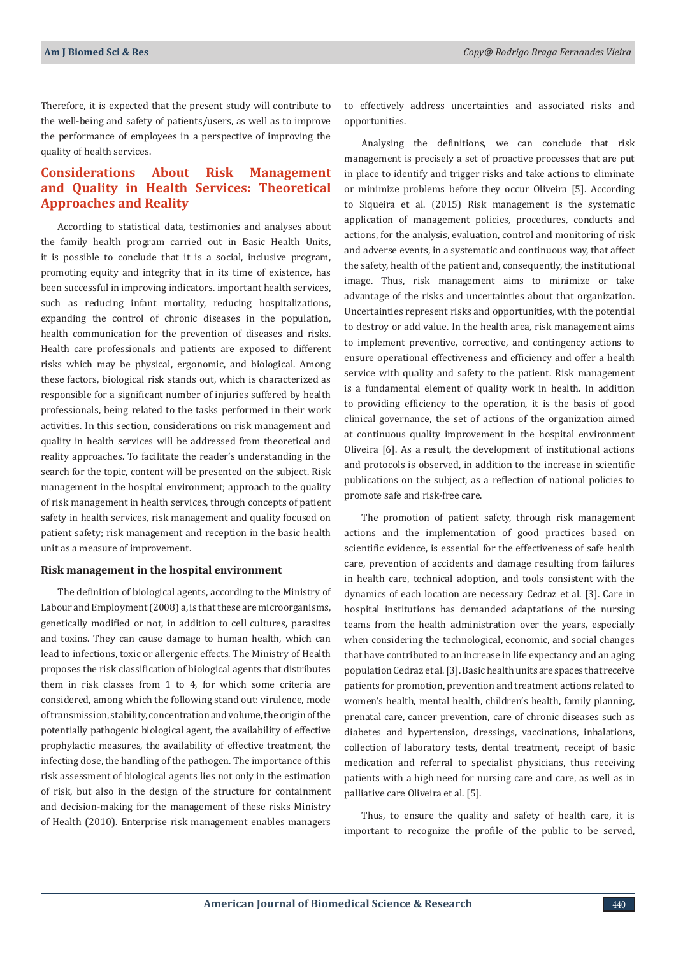Therefore, it is expected that the present study will contribute to the well-being and safety of patients/users, as well as to improve the performance of employees in a perspective of improving the quality of health services.

## **Considerations About Risk Management and Quality in Health Services: Theoretical Approaches and Reality**

According to statistical data, testimonies and analyses about the family health program carried out in Basic Health Units, it is possible to conclude that it is a social, inclusive program, promoting equity and integrity that in its time of existence, has been successful in improving indicators. important health services, such as reducing infant mortality, reducing hospitalizations, expanding the control of chronic diseases in the population, health communication for the prevention of diseases and risks. Health care professionals and patients are exposed to different risks which may be physical, ergonomic, and biological. Among these factors, biological risk stands out, which is characterized as responsible for a significant number of injuries suffered by health professionals, being related to the tasks performed in their work activities. In this section, considerations on risk management and quality in health services will be addressed from theoretical and reality approaches. To facilitate the reader's understanding in the search for the topic, content will be presented on the subject. Risk management in the hospital environment; approach to the quality of risk management in health services, through concepts of patient safety in health services, risk management and quality focused on patient safety; risk management and reception in the basic health unit as a measure of improvement.

#### **Risk management in the hospital environment**

The definition of biological agents, according to the Ministry of Labour and Employment (2008) a, is that these are microorganisms, genetically modified or not, in addition to cell cultures, parasites and toxins. They can cause damage to human health, which can lead to infections, toxic or allergenic effects. The Ministry of Health proposes the risk classification of biological agents that distributes them in risk classes from 1 to 4, for which some criteria are considered, among which the following stand out: virulence, mode of transmission, stability, concentration and volume, the origin of the potentially pathogenic biological agent, the availability of effective prophylactic measures, the availability of effective treatment, the infecting dose, the handling of the pathogen. The importance of this risk assessment of biological agents lies not only in the estimation of risk, but also in the design of the structure for containment and decision-making for the management of these risks Ministry of Health (2010). Enterprise risk management enables managers

to effectively address uncertainties and associated risks and opportunities.

Analysing the definitions, we can conclude that risk management is precisely a set of proactive processes that are put in place to identify and trigger risks and take actions to eliminate or minimize problems before they occur Oliveira [5]. According to Siqueira et al. (2015) Risk management is the systematic application of management policies, procedures, conducts and actions, for the analysis, evaluation, control and monitoring of risk and adverse events, in a systematic and continuous way, that affect the safety, health of the patient and, consequently, the institutional image. Thus, risk management aims to minimize or take advantage of the risks and uncertainties about that organization. Uncertainties represent risks and opportunities, with the potential to destroy or add value. In the health area, risk management aims to implement preventive, corrective, and contingency actions to ensure operational effectiveness and efficiency and offer a health service with quality and safety to the patient. Risk management is a fundamental element of quality work in health. In addition to providing efficiency to the operation, it is the basis of good clinical governance, the set of actions of the organization aimed at continuous quality improvement in the hospital environment Oliveira [6]. As a result, the development of institutional actions and protocols is observed, in addition to the increase in scientific publications on the subject, as a reflection of national policies to promote safe and risk-free care.

The promotion of patient safety, through risk management actions and the implementation of good practices based on scientific evidence, is essential for the effectiveness of safe health care, prevention of accidents and damage resulting from failures in health care, technical adoption, and tools consistent with the dynamics of each location are necessary Cedraz et al. [3]. Care in hospital institutions has demanded adaptations of the nursing teams from the health administration over the years, especially when considering the technological, economic, and social changes that have contributed to an increase in life expectancy and an aging population Cedraz et al. [3]. Basic health units are spaces that receive patients for promotion, prevention and treatment actions related to women's health, mental health, children's health, family planning, prenatal care, cancer prevention, care of chronic diseases such as diabetes and hypertension, dressings, vaccinations, inhalations, collection of laboratory tests, dental treatment, receipt of basic medication and referral to specialist physicians, thus receiving patients with a high need for nursing care and care, as well as in palliative care Oliveira et al. [5].

Thus, to ensure the quality and safety of health care, it is important to recognize the profile of the public to be served,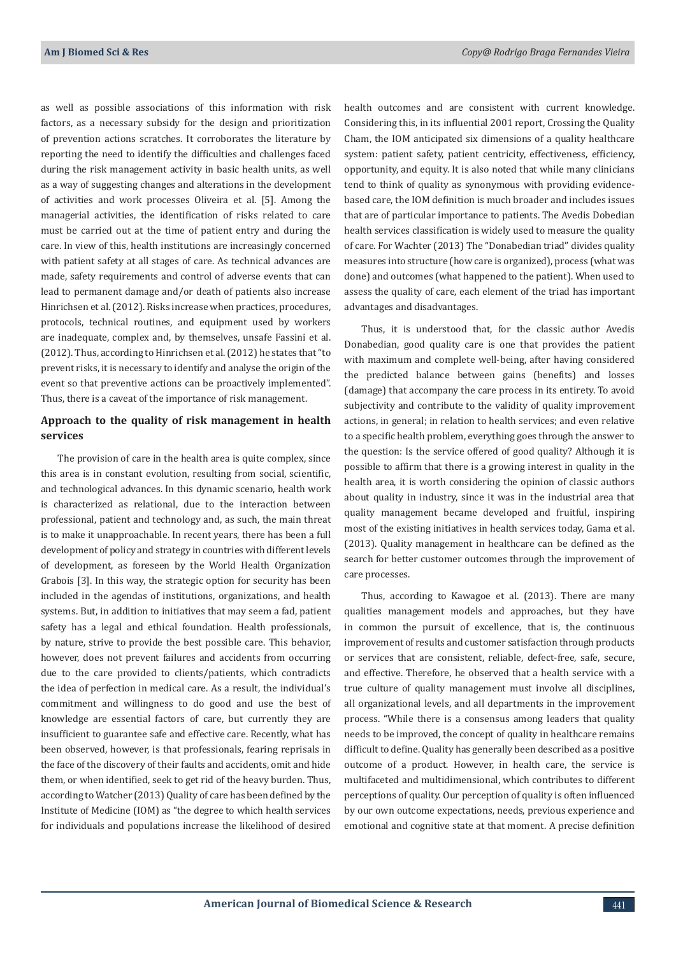as well as possible associations of this information with risk factors, as a necessary subsidy for the design and prioritization of prevention actions scratches. It corroborates the literature by reporting the need to identify the difficulties and challenges faced during the risk management activity in basic health units, as well as a way of suggesting changes and alterations in the development of activities and work processes Oliveira et al. [5]. Among the managerial activities, the identification of risks related to care must be carried out at the time of patient entry and during the care. In view of this, health institutions are increasingly concerned with patient safety at all stages of care. As technical advances are made, safety requirements and control of adverse events that can lead to permanent damage and/or death of patients also increase Hinrichsen et al. (2012). Risks increase when practices, procedures, protocols, technical routines, and equipment used by workers are inadequate, complex and, by themselves, unsafe Fassini et al. (2012). Thus, according to Hinrichsen et al. (2012) he states that "to prevent risks, it is necessary to identify and analyse the origin of the event so that preventive actions can be proactively implemented". Thus, there is a caveat of the importance of risk management.

## **Approach to the quality of risk management in health services**

The provision of care in the health area is quite complex, since this area is in constant evolution, resulting from social, scientific, and technological advances. In this dynamic scenario, health work is characterized as relational, due to the interaction between professional, patient and technology and, as such, the main threat is to make it unapproachable. In recent years, there has been a full development of policy and strategy in countries with different levels of development, as foreseen by the World Health Organization Grabois [3]. In this way, the strategic option for security has been included in the agendas of institutions, organizations, and health systems. But, in addition to initiatives that may seem a fad, patient safety has a legal and ethical foundation. Health professionals, by nature, strive to provide the best possible care. This behavior, however, does not prevent failures and accidents from occurring due to the care provided to clients/patients, which contradicts the idea of perfection in medical care. As a result, the individual's commitment and willingness to do good and use the best of knowledge are essential factors of care, but currently they are insufficient to guarantee safe and effective care. Recently, what has been observed, however, is that professionals, fearing reprisals in the face of the discovery of their faults and accidents, omit and hide them, or when identified, seek to get rid of the heavy burden. Thus, according to Watcher (2013) Quality of care has been defined by the Institute of Medicine (IOM) as "the degree to which health services for individuals and populations increase the likelihood of desired health outcomes and are consistent with current knowledge. Considering this, in its influential 2001 report, Crossing the Quality Cham, the IOM anticipated six dimensions of a quality healthcare system: patient safety, patient centricity, effectiveness, efficiency, opportunity, and equity. It is also noted that while many clinicians tend to think of quality as synonymous with providing evidencebased care, the IOM definition is much broader and includes issues that are of particular importance to patients. The Avedis Dobedian health services classification is widely used to measure the quality of care. For Wachter (2013) The "Donabedian triad" divides quality measures into structure (how care is organized), process (what was done) and outcomes (what happened to the patient). When used to assess the quality of care, each element of the triad has important advantages and disadvantages.

Thus, it is understood that, for the classic author Avedis Donabedian, good quality care is one that provides the patient with maximum and complete well-being, after having considered the predicted balance between gains (benefits) and losses (damage) that accompany the care process in its entirety. To avoid subjectivity and contribute to the validity of quality improvement actions, in general; in relation to health services; and even relative to a specific health problem, everything goes through the answer to the question: Is the service offered of good quality? Although it is possible to affirm that there is a growing interest in quality in the health area, it is worth considering the opinion of classic authors about quality in industry, since it was in the industrial area that quality management became developed and fruitful, inspiring most of the existing initiatives in health services today, Gama et al. (2013). Quality management in healthcare can be defined as the search for better customer outcomes through the improvement of care processes.

Thus, according to Kawagoe et al. (2013). There are many qualities management models and approaches, but they have in common the pursuit of excellence, that is, the continuous improvement of results and customer satisfaction through products or services that are consistent, reliable, defect-free, safe, secure, and effective. Therefore, he observed that a health service with a true culture of quality management must involve all disciplines, all organizational levels, and all departments in the improvement process. "While there is a consensus among leaders that quality needs to be improved, the concept of quality in healthcare remains difficult to define. Quality has generally been described as a positive outcome of a product. However, in health care, the service is multifaceted and multidimensional, which contributes to different perceptions of quality. Our perception of quality is often influenced by our own outcome expectations, needs, previous experience and emotional and cognitive state at that moment. A precise definition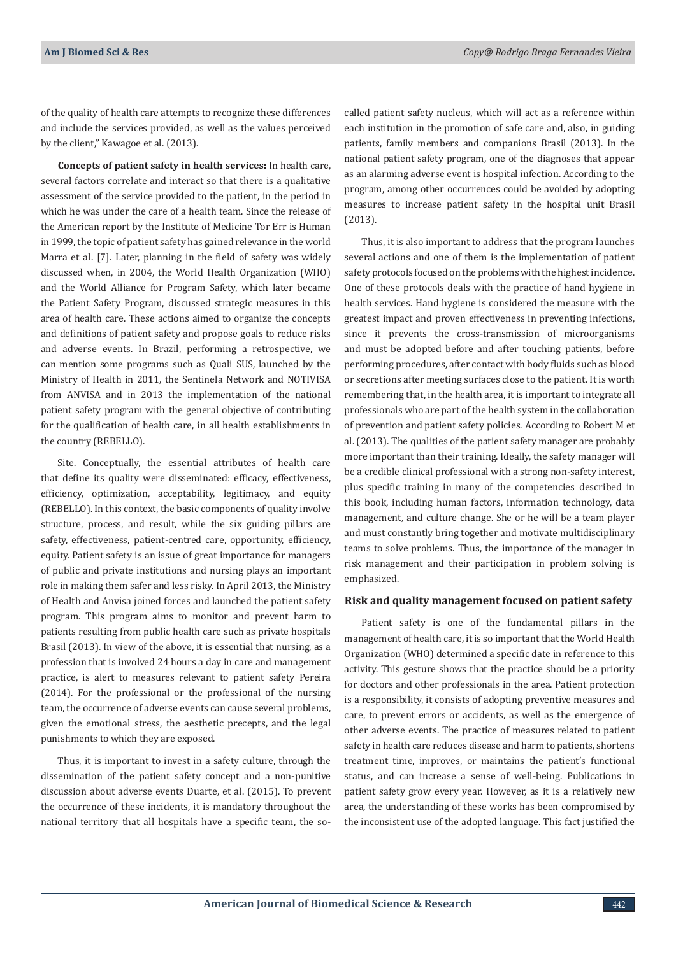of the quality of health care attempts to recognize these differences and include the services provided, as well as the values perceived by the client," Kawagoe et al. (2013).

**Concepts of patient safety in health services:** In health care, several factors correlate and interact so that there is a qualitative assessment of the service provided to the patient, in the period in which he was under the care of a health team. Since the release of the American report by the Institute of Medicine Tor Err is Human in 1999, the topic of patient safety has gained relevance in the world Marra et al. [7]. Later, planning in the field of safety was widely discussed when, in 2004, the World Health Organization (WHO) and the World Alliance for Program Safety, which later became the Patient Safety Program, discussed strategic measures in this area of health care. These actions aimed to organize the concepts and definitions of patient safety and propose goals to reduce risks and adverse events. In Brazil, performing a retrospective, we can mention some programs such as Quali SUS, launched by the Ministry of Health in 2011, the Sentinela Network and NOTIVISA from ANVISA and in 2013 the implementation of the national patient safety program with the general objective of contributing for the qualification of health care, in all health establishments in the country (REBELLO).

Site. Conceptually, the essential attributes of health care that define its quality were disseminated: efficacy, effectiveness, efficiency, optimization, acceptability, legitimacy, and equity (REBELLO). In this context, the basic components of quality involve structure, process, and result, while the six guiding pillars are safety, effectiveness, patient-centred care, opportunity, efficiency, equity. Patient safety is an issue of great importance for managers of public and private institutions and nursing plays an important role in making them safer and less risky. In April 2013, the Ministry of Health and Anvisa joined forces and launched the patient safety program. This program aims to monitor and prevent harm to patients resulting from public health care such as private hospitals Brasil (2013). In view of the above, it is essential that nursing, as a profession that is involved 24 hours a day in care and management practice, is alert to measures relevant to patient safety Pereira (2014). For the professional or the professional of the nursing team, the occurrence of adverse events can cause several problems, given the emotional stress, the aesthetic precepts, and the legal punishments to which they are exposed.

Thus, it is important to invest in a safety culture, through the dissemination of the patient safety concept and a non-punitive discussion about adverse events Duarte, et al. (2015). To prevent the occurrence of these incidents, it is mandatory throughout the national territory that all hospitals have a specific team, the socalled patient safety nucleus, which will act as a reference within each institution in the promotion of safe care and, also, in guiding patients, family members and companions Brasil (2013). In the national patient safety program, one of the diagnoses that appear as an alarming adverse event is hospital infection. According to the program, among other occurrences could be avoided by adopting measures to increase patient safety in the hospital unit Brasil (2013).

Thus, it is also important to address that the program launches several actions and one of them is the implementation of patient safety protocols focused on the problems with the highest incidence. One of these protocols deals with the practice of hand hygiene in health services. Hand hygiene is considered the measure with the greatest impact and proven effectiveness in preventing infections, since it prevents the cross-transmission of microorganisms and must be adopted before and after touching patients, before performing procedures, after contact with body fluids such as blood or secretions after meeting surfaces close to the patient. It is worth remembering that, in the health area, it is important to integrate all professionals who are part of the health system in the collaboration of prevention and patient safety policies. According to Robert M et al. (2013). The qualities of the patient safety manager are probably more important than their training. Ideally, the safety manager will be a credible clinical professional with a strong non-safety interest, plus specific training in many of the competencies described in this book, including human factors, information technology, data management, and culture change. She or he will be a team player and must constantly bring together and motivate multidisciplinary teams to solve problems. Thus, the importance of the manager in risk management and their participation in problem solving is emphasized.

#### **Risk and quality management focused on patient safety**

Patient safety is one of the fundamental pillars in the management of health care, it is so important that the World Health Organization (WHO) determined a specific date in reference to this activity. This gesture shows that the practice should be a priority for doctors and other professionals in the area. Patient protection is a responsibility, it consists of adopting preventive measures and care, to prevent errors or accidents, as well as the emergence of other adverse events. The practice of measures related to patient safety in health care reduces disease and harm to patients, shortens treatment time, improves, or maintains the patient's functional status, and can increase a sense of well-being. Publications in patient safety grow every year. However, as it is a relatively new area, the understanding of these works has been compromised by the inconsistent use of the adopted language. This fact justified the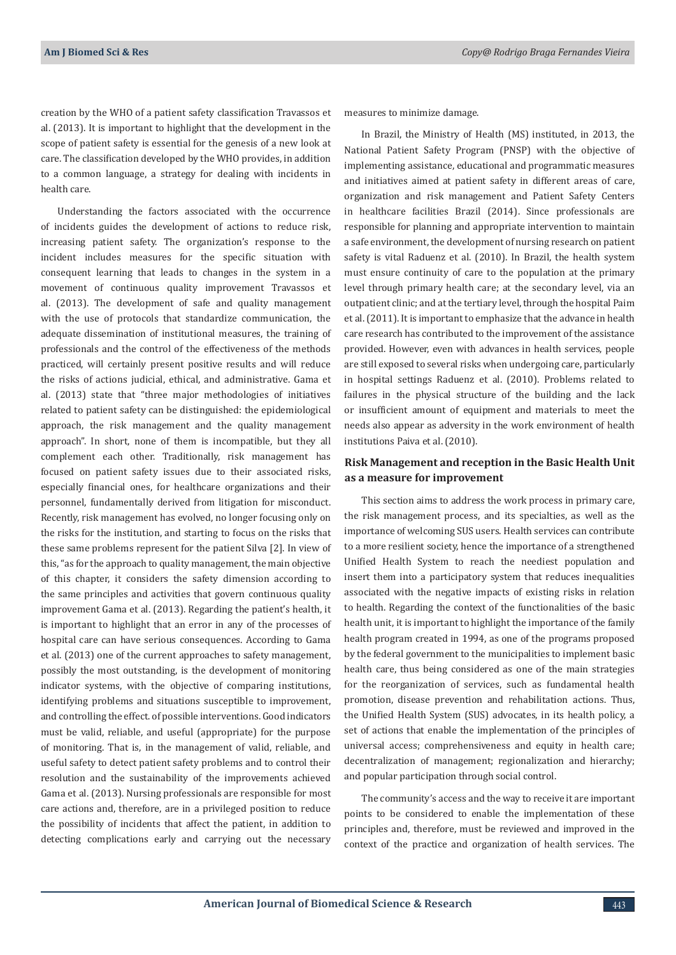creation by the WHO of a patient safety classification Travassos et al. (2013). It is important to highlight that the development in the scope of patient safety is essential for the genesis of a new look at care. The classification developed by the WHO provides, in addition to a common language, a strategy for dealing with incidents in health care.

Understanding the factors associated with the occurrence of incidents guides the development of actions to reduce risk, increasing patient safety. The organization's response to the incident includes measures for the specific situation with consequent learning that leads to changes in the system in a movement of continuous quality improvement Travassos et al. (2013). The development of safe and quality management with the use of protocols that standardize communication, the adequate dissemination of institutional measures, the training of professionals and the control of the effectiveness of the methods practiced, will certainly present positive results and will reduce the risks of actions judicial, ethical, and administrative. Gama et al. (2013) state that "three major methodologies of initiatives related to patient safety can be distinguished: the epidemiological approach, the risk management and the quality management approach". In short, none of them is incompatible, but they all complement each other. Traditionally, risk management has focused on patient safety issues due to their associated risks, especially financial ones, for healthcare organizations and their personnel, fundamentally derived from litigation for misconduct. Recently, risk management has evolved, no longer focusing only on the risks for the institution, and starting to focus on the risks that these same problems represent for the patient Silva [2]. In view of this, "as for the approach to quality management, the main objective of this chapter, it considers the safety dimension according to the same principles and activities that govern continuous quality improvement Gama et al. (2013). Regarding the patient's health, it is important to highlight that an error in any of the processes of hospital care can have serious consequences. According to Gama et al. (2013) one of the current approaches to safety management, possibly the most outstanding, is the development of monitoring indicator systems, with the objective of comparing institutions, identifying problems and situations susceptible to improvement, and controlling the effect. of possible interventions. Good indicators must be valid, reliable, and useful (appropriate) for the purpose of monitoring. That is, in the management of valid, reliable, and useful safety to detect patient safety problems and to control their resolution and the sustainability of the improvements achieved Gama et al. (2013). Nursing professionals are responsible for most care actions and, therefore, are in a privileged position to reduce the possibility of incidents that affect the patient, in addition to detecting complications early and carrying out the necessary

measures to minimize damage.

In Brazil, the Ministry of Health (MS) instituted, in 2013, the National Patient Safety Program (PNSP) with the objective of implementing assistance, educational and programmatic measures and initiatives aimed at patient safety in different areas of care, organization and risk management and Patient Safety Centers in healthcare facilities Brazil (2014). Since professionals are responsible for planning and appropriate intervention to maintain a safe environment, the development of nursing research on patient safety is vital Raduenz et al. (2010). In Brazil, the health system must ensure continuity of care to the population at the primary level through primary health care; at the secondary level, via an outpatient clinic; and at the tertiary level, through the hospital Paim et al. (2011). It is important to emphasize that the advance in health care research has contributed to the improvement of the assistance provided. However, even with advances in health services, people are still exposed to several risks when undergoing care, particularly in hospital settings Raduenz et al. (2010). Problems related to failures in the physical structure of the building and the lack or insufficient amount of equipment and materials to meet the needs also appear as adversity in the work environment of health institutions Paiva et al. (2010).

## **Risk Management and reception in the Basic Health Unit as a measure for improvement**

This section aims to address the work process in primary care, the risk management process, and its specialties, as well as the importance of welcoming SUS users. Health services can contribute to a more resilient society, hence the importance of a strengthened Unified Health System to reach the neediest population and insert them into a participatory system that reduces inequalities associated with the negative impacts of existing risks in relation to health. Regarding the context of the functionalities of the basic health unit, it is important to highlight the importance of the family health program created in 1994, as one of the programs proposed by the federal government to the municipalities to implement basic health care, thus being considered as one of the main strategies for the reorganization of services, such as fundamental health promotion, disease prevention and rehabilitation actions. Thus, the Unified Health System (SUS) advocates, in its health policy, a set of actions that enable the implementation of the principles of universal access; comprehensiveness and equity in health care; decentralization of management; regionalization and hierarchy; and popular participation through social control.

The community's access and the way to receive it are important points to be considered to enable the implementation of these principles and, therefore, must be reviewed and improved in the context of the practice and organization of health services. The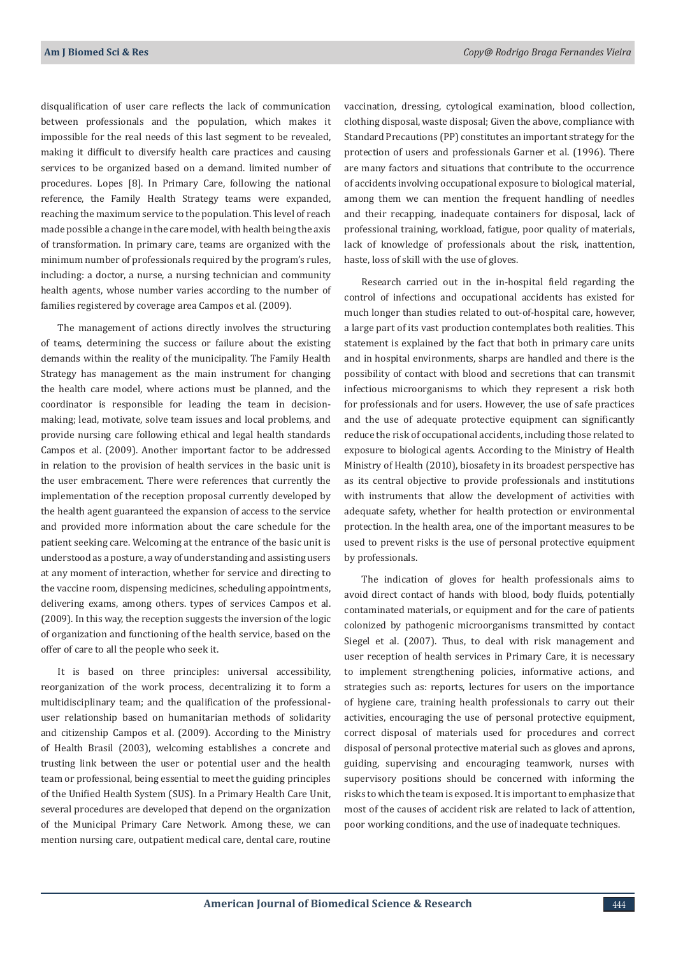disqualification of user care reflects the lack of communication between professionals and the population, which makes it impossible for the real needs of this last segment to be revealed, making it difficult to diversify health care practices and causing services to be organized based on a demand. limited number of procedures. Lopes [8]. In Primary Care, following the national reference, the Family Health Strategy teams were expanded, reaching the maximum service to the population. This level of reach made possible a change in the care model, with health being the axis of transformation. In primary care, teams are organized with the minimum number of professionals required by the program's rules, including: a doctor, a nurse, a nursing technician and community health agents, whose number varies according to the number of families registered by coverage area Campos et al. (2009).

The management of actions directly involves the structuring of teams, determining the success or failure about the existing demands within the reality of the municipality. The Family Health Strategy has management as the main instrument for changing the health care model, where actions must be planned, and the coordinator is responsible for leading the team in decisionmaking; lead, motivate, solve team issues and local problems, and provide nursing care following ethical and legal health standards Campos et al. (2009). Another important factor to be addressed in relation to the provision of health services in the basic unit is the user embracement. There were references that currently the implementation of the reception proposal currently developed by the health agent guaranteed the expansion of access to the service and provided more information about the care schedule for the patient seeking care. Welcoming at the entrance of the basic unit is understood as a posture, a way of understanding and assisting users at any moment of interaction, whether for service and directing to the vaccine room, dispensing medicines, scheduling appointments, delivering exams, among others. types of services Campos et al. (2009). In this way, the reception suggests the inversion of the logic of organization and functioning of the health service, based on the offer of care to all the people who seek it.

It is based on three principles: universal accessibility, reorganization of the work process, decentralizing it to form a multidisciplinary team; and the qualification of the professionaluser relationship based on humanitarian methods of solidarity and citizenship Campos et al. (2009). According to the Ministry of Health Brasil (2003), welcoming establishes a concrete and trusting link between the user or potential user and the health team or professional, being essential to meet the guiding principles of the Unified Health System (SUS). In a Primary Health Care Unit, several procedures are developed that depend on the organization of the Municipal Primary Care Network. Among these, we can mention nursing care, outpatient medical care, dental care, routine

vaccination, dressing, cytological examination, blood collection, clothing disposal, waste disposal; Given the above, compliance with Standard Precautions (PP) constitutes an important strategy for the protection of users and professionals Garner et al. (1996). There are many factors and situations that contribute to the occurrence of accidents involving occupational exposure to biological material, among them we can mention the frequent handling of needles and their recapping, inadequate containers for disposal, lack of professional training, workload, fatigue, poor quality of materials, lack of knowledge of professionals about the risk, inattention, haste, loss of skill with the use of gloves.

Research carried out in the in-hospital field regarding the control of infections and occupational accidents has existed for much longer than studies related to out-of-hospital care, however, a large part of its vast production contemplates both realities. This statement is explained by the fact that both in primary care units and in hospital environments, sharps are handled and there is the possibility of contact with blood and secretions that can transmit infectious microorganisms to which they represent a risk both for professionals and for users. However, the use of safe practices and the use of adequate protective equipment can significantly reduce the risk of occupational accidents, including those related to exposure to biological agents. According to the Ministry of Health Ministry of Health (2010), biosafety in its broadest perspective has as its central objective to provide professionals and institutions with instruments that allow the development of activities with adequate safety, whether for health protection or environmental protection. In the health area, one of the important measures to be used to prevent risks is the use of personal protective equipment by professionals.

The indication of gloves for health professionals aims to avoid direct contact of hands with blood, body fluids, potentially contaminated materials, or equipment and for the care of patients colonized by pathogenic microorganisms transmitted by contact Siegel et al. (2007). Thus, to deal with risk management and user reception of health services in Primary Care, it is necessary to implement strengthening policies, informative actions, and strategies such as: reports, lectures for users on the importance of hygiene care, training health professionals to carry out their activities, encouraging the use of personal protective equipment, correct disposal of materials used for procedures and correct disposal of personal protective material such as gloves and aprons, guiding, supervising and encouraging teamwork, nurses with supervisory positions should be concerned with informing the risks to which the team is exposed. It is important to emphasize that most of the causes of accident risk are related to lack of attention, poor working conditions, and the use of inadequate techniques.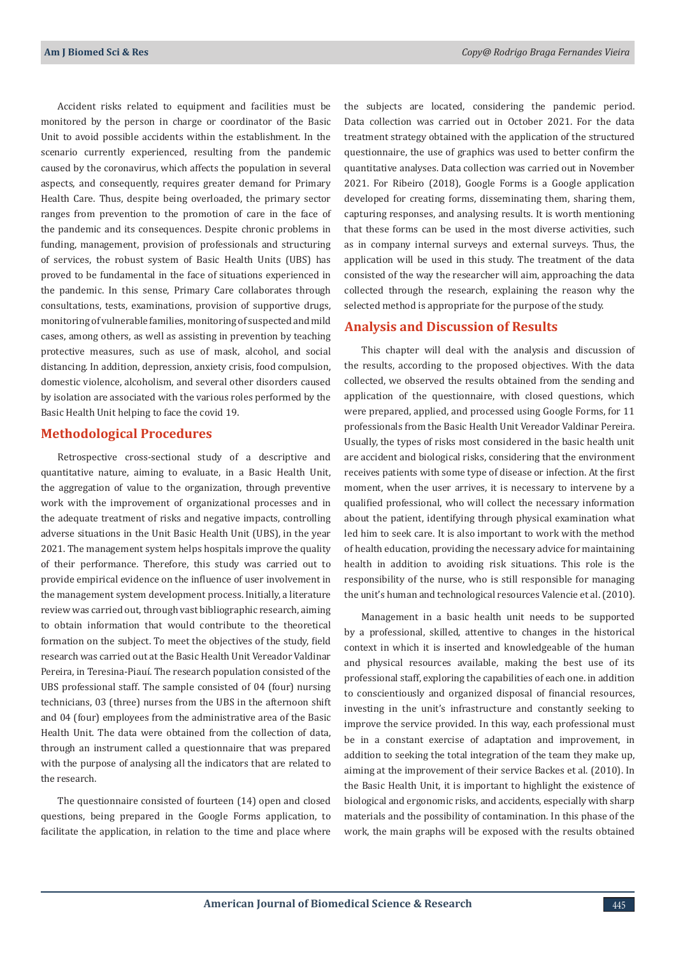Accident risks related to equipment and facilities must be monitored by the person in charge or coordinator of the Basic Unit to avoid possible accidents within the establishment. In the scenario currently experienced, resulting from the pandemic caused by the coronavirus, which affects the population in several aspects, and consequently, requires greater demand for Primary Health Care. Thus, despite being overloaded, the primary sector ranges from prevention to the promotion of care in the face of the pandemic and its consequences. Despite chronic problems in funding, management, provision of professionals and structuring of services, the robust system of Basic Health Units (UBS) has proved to be fundamental in the face of situations experienced in the pandemic. In this sense, Primary Care collaborates through consultations, tests, examinations, provision of supportive drugs, monitoring of vulnerable families, monitoring of suspected and mild cases, among others, as well as assisting in prevention by teaching protective measures, such as use of mask, alcohol, and social distancing. In addition, depression, anxiety crisis, food compulsion, domestic violence, alcoholism, and several other disorders caused by isolation are associated with the various roles performed by the Basic Health Unit helping to face the covid 19.

## **Methodological Procedures**

Retrospective cross-sectional study of a descriptive and quantitative nature, aiming to evaluate, in a Basic Health Unit, the aggregation of value to the organization, through preventive work with the improvement of organizational processes and in the adequate treatment of risks and negative impacts, controlling adverse situations in the Unit Basic Health Unit (UBS), in the year 2021. The management system helps hospitals improve the quality of their performance. Therefore, this study was carried out to provide empirical evidence on the influence of user involvement in the management system development process. Initially, a literature review was carried out, through vast bibliographic research, aiming to obtain information that would contribute to the theoretical formation on the subject. To meet the objectives of the study, field research was carried out at the Basic Health Unit Vereador Valdinar Pereira, in Teresina-Piauí. The research population consisted of the UBS professional staff. The sample consisted of 04 (four) nursing technicians, 03 (three) nurses from the UBS in the afternoon shift and 04 (four) employees from the administrative area of the Basic Health Unit. The data were obtained from the collection of data, through an instrument called a questionnaire that was prepared with the purpose of analysing all the indicators that are related to the research.

The questionnaire consisted of fourteen (14) open and closed questions, being prepared in the Google Forms application, to facilitate the application, in relation to the time and place where the subjects are located, considering the pandemic period. Data collection was carried out in October 2021. For the data treatment strategy obtained with the application of the structured questionnaire, the use of graphics was used to better confirm the quantitative analyses. Data collection was carried out in November 2021. For Ribeiro (2018), Google Forms is a Google application developed for creating forms, disseminating them, sharing them, capturing responses, and analysing results. It is worth mentioning that these forms can be used in the most diverse activities, such as in company internal surveys and external surveys. Thus, the application will be used in this study. The treatment of the data consisted of the way the researcher will aim, approaching the data collected through the research, explaining the reason why the selected method is appropriate for the purpose of the study.

### **Analysis and Discussion of Results**

This chapter will deal with the analysis and discussion of the results, according to the proposed objectives. With the data collected, we observed the results obtained from the sending and application of the questionnaire, with closed questions, which were prepared, applied, and processed using Google Forms, for 11 professionals from the Basic Health Unit Vereador Valdinar Pereira. Usually, the types of risks most considered in the basic health unit are accident and biological risks, considering that the environment receives patients with some type of disease or infection. At the first moment, when the user arrives, it is necessary to intervene by a qualified professional, who will collect the necessary information about the patient, identifying through physical examination what led him to seek care. It is also important to work with the method of health education, providing the necessary advice for maintaining health in addition to avoiding risk situations. This role is the responsibility of the nurse, who is still responsible for managing the unit's human and technological resources Valencie et al. (2010).

Management in a basic health unit needs to be supported by a professional, skilled, attentive to changes in the historical context in which it is inserted and knowledgeable of the human and physical resources available, making the best use of its professional staff, exploring the capabilities of each one. in addition to conscientiously and organized disposal of financial resources, investing in the unit's infrastructure and constantly seeking to improve the service provided. In this way, each professional must be in a constant exercise of adaptation and improvement, in addition to seeking the total integration of the team they make up, aiming at the improvement of their service Backes et al. (2010). In the Basic Health Unit, it is important to highlight the existence of biological and ergonomic risks, and accidents, especially with sharp materials and the possibility of contamination. In this phase of the work, the main graphs will be exposed with the results obtained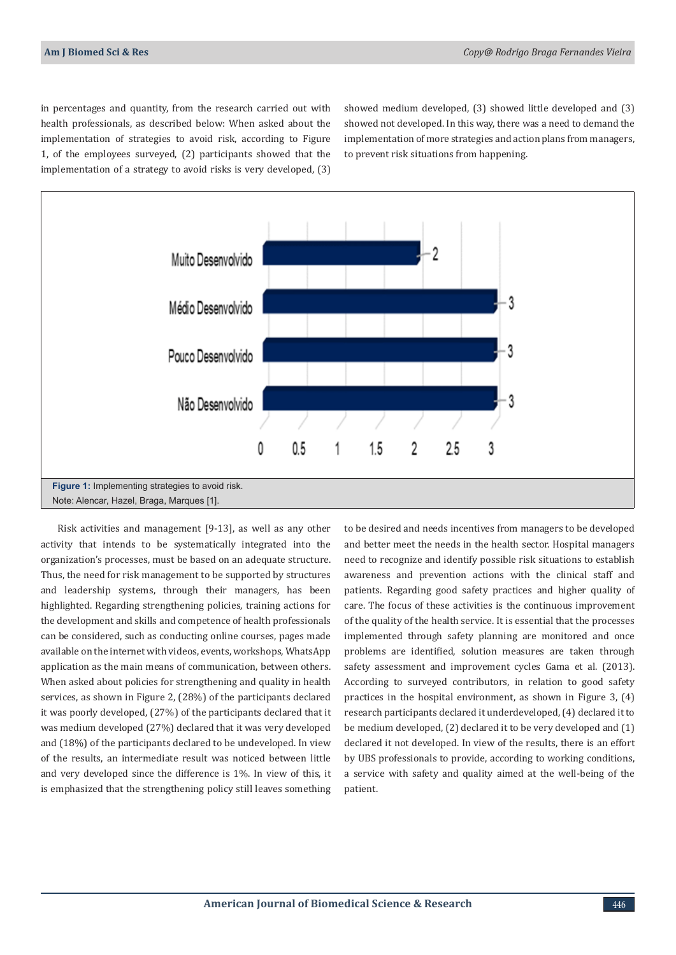in percentages and quantity, from the research carried out with health professionals, as described below: When asked about the implementation of strategies to avoid risk, according to Figure 1, of the employees surveyed, (2) participants showed that the implementation of a strategy to avoid risks is very developed, (3)

showed medium developed, (3) showed little developed and (3) showed not developed. In this way, there was a need to demand the implementation of more strategies and action plans from managers, to prevent risk situations from happening.



Risk activities and management [9-13], as well as any other activity that intends to be systematically integrated into the organization's processes, must be based on an adequate structure. Thus, the need for risk management to be supported by structures and leadership systems, through their managers, has been highlighted. Regarding strengthening policies, training actions for the development and skills and competence of health professionals can be considered, such as conducting online courses, pages made available on the internet with videos, events, workshops, WhatsApp application as the main means of communication, between others. When asked about policies for strengthening and quality in health services, as shown in Figure 2, (28%) of the participants declared it was poorly developed, (27%) of the participants declared that it was medium developed (27%) declared that it was very developed and (18%) of the participants declared to be undeveloped. In view of the results, an intermediate result was noticed between little and very developed since the difference is 1%. In view of this, it is emphasized that the strengthening policy still leaves something to be desired and needs incentives from managers to be developed and better meet the needs in the health sector. Hospital managers need to recognize and identify possible risk situations to establish awareness and prevention actions with the clinical staff and patients. Regarding good safety practices and higher quality of care. The focus of these activities is the continuous improvement of the quality of the health service. It is essential that the processes implemented through safety planning are monitored and once problems are identified, solution measures are taken through safety assessment and improvement cycles Gama et al. (2013). According to surveyed contributors, in relation to good safety practices in the hospital environment, as shown in Figure 3, (4) research participants declared it underdeveloped, (4) declared it to be medium developed, (2) declared it to be very developed and (1) declared it not developed. In view of the results, there is an effort by UBS professionals to provide, according to working conditions, a service with safety and quality aimed at the well-being of the patient.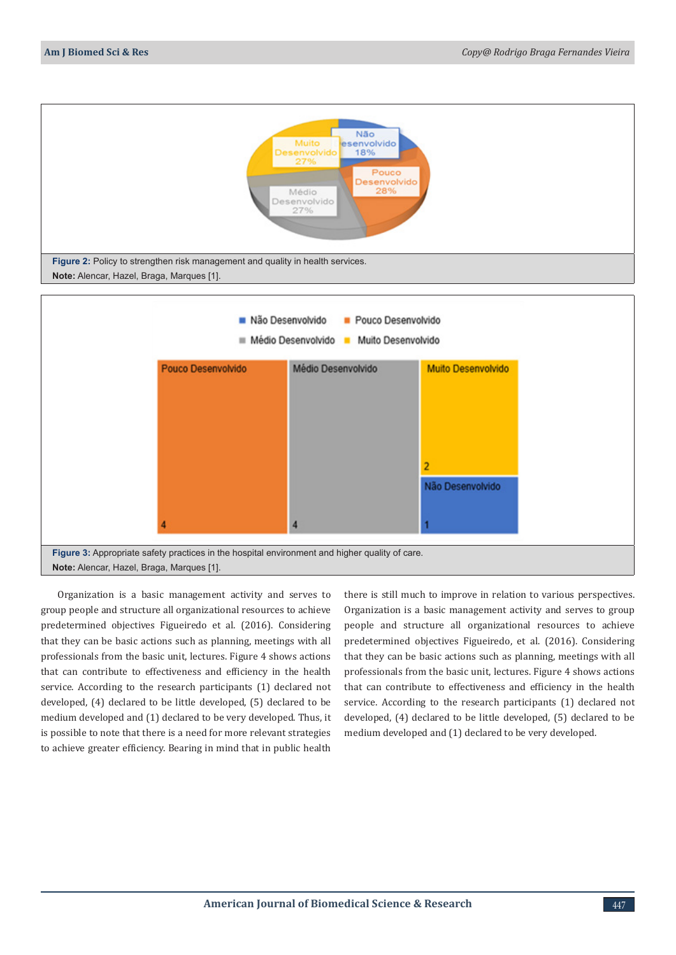

Organization is a basic management activity and serves to group people and structure all organizational resources to achieve predetermined objectives Figueiredo et al. (2016). Considering that they can be basic actions such as planning, meetings with all professionals from the basic unit, lectures. Figure 4 shows actions that can contribute to effectiveness and efficiency in the health service. According to the research participants (1) declared not developed, (4) declared to be little developed, (5) declared to be medium developed and (1) declared to be very developed. Thus, it is possible to note that there is a need for more relevant strategies to achieve greater efficiency. Bearing in mind that in public health

there is still much to improve in relation to various perspectives. Organization is a basic management activity and serves to group people and structure all organizational resources to achieve predetermined objectives Figueiredo, et al. (2016). Considering that they can be basic actions such as planning, meetings with all professionals from the basic unit, lectures. Figure 4 shows actions that can contribute to effectiveness and efficiency in the health service. According to the research participants (1) declared not developed, (4) declared to be little developed, (5) declared to be medium developed and (1) declared to be very developed.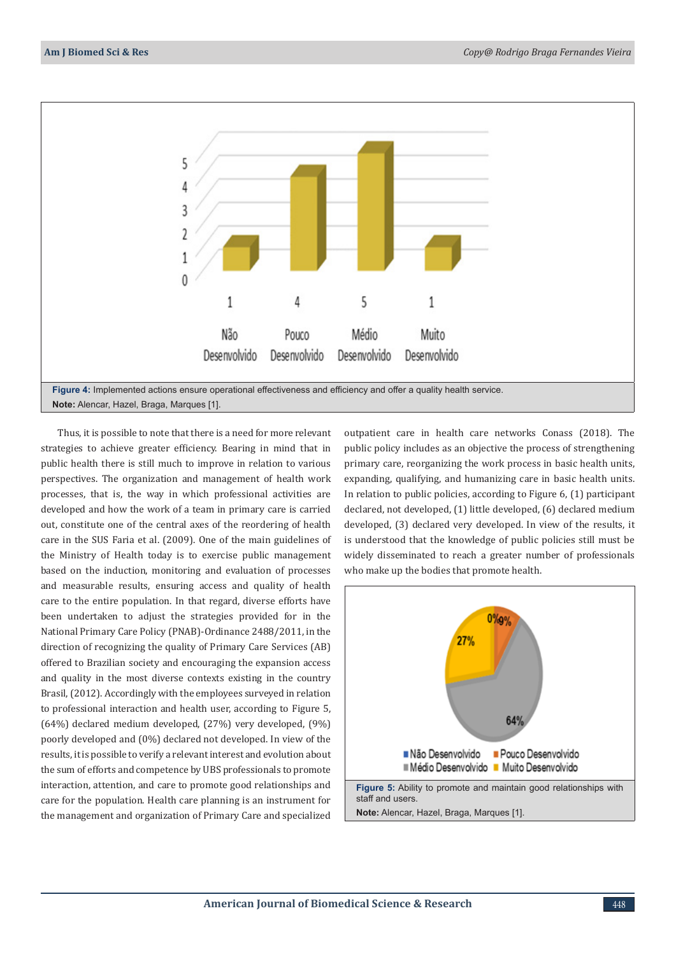

Thus, it is possible to note that there is a need for more relevant strategies to achieve greater efficiency. Bearing in mind that in public health there is still much to improve in relation to various perspectives. The organization and management of health work processes, that is, the way in which professional activities are developed and how the work of a team in primary care is carried out, constitute one of the central axes of the reordering of health care in the SUS Faria et al. (2009). One of the main guidelines of the Ministry of Health today is to exercise public management based on the induction, monitoring and evaluation of processes and measurable results, ensuring access and quality of health care to the entire population. In that regard, diverse efforts have been undertaken to adjust the strategies provided for in the National Primary Care Policy (PNAB)-Ordinance 2488/2011, in the direction of recognizing the quality of Primary Care Services (AB) offered to Brazilian society and encouraging the expansion access and quality in the most diverse contexts existing in the country Brasil, (2012). Accordingly with the employees surveyed in relation to professional interaction and health user, according to Figure 5, (64%) declared medium developed, (27%) very developed, (9%) poorly developed and (0%) declared not developed. In view of the results, it is possible to verify a relevant interest and evolution about the sum of efforts and competence by UBS professionals to promote interaction, attention, and care to promote good relationships and care for the population. Health care planning is an instrument for the management and organization of Primary Care and specialized

outpatient care in health care networks Conass (2018). The public policy includes as an objective the process of strengthening primary care, reorganizing the work process in basic health units, expanding, qualifying, and humanizing care in basic health units. In relation to public policies, according to Figure 6, (1) participant declared, not developed, (1) little developed, (6) declared medium developed, (3) declared very developed. In view of the results, it is understood that the knowledge of public policies still must be widely disseminated to reach a greater number of professionals who make up the bodies that promote health.

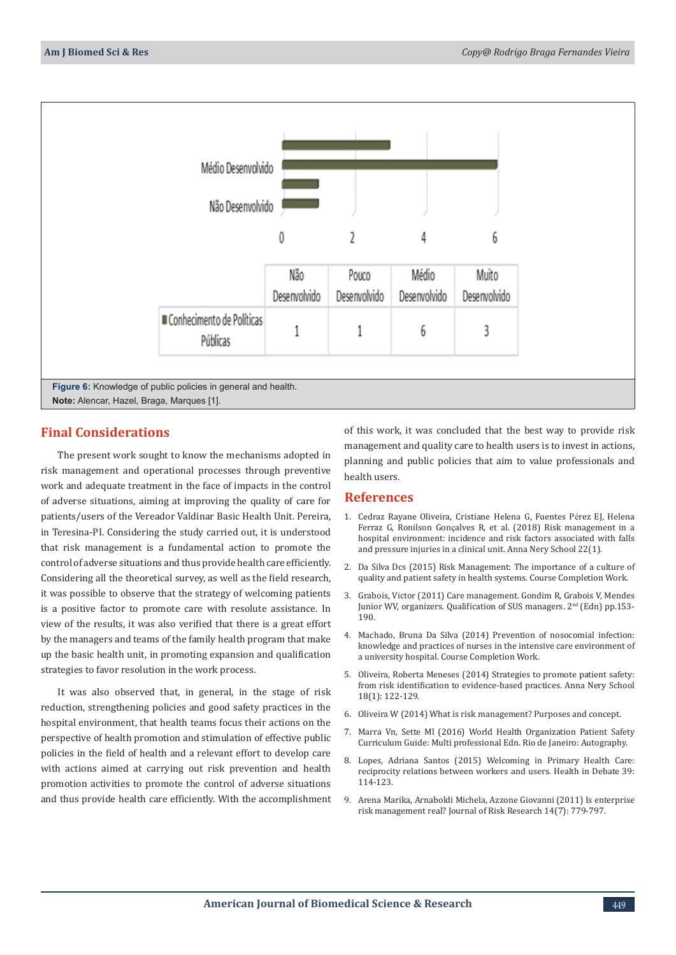

## **Final Considerations**

The present work sought to know the mechanisms adopted in risk management and operational processes through preventive work and adequate treatment in the face of impacts in the control of adverse situations, aiming at improving the quality of care for patients/users of the Vereador Valdinar Basic Health Unit. Pereira, in Teresina-PI. Considering the study carried out, it is understood that risk management is a fundamental action to promote the control of adverse situations and thus provide health care efficiently. Considering all the theoretical survey, as well as the field research, it was possible to observe that the strategy of welcoming patients is a positive factor to promote care with resolute assistance. In view of the results, it was also verified that there is a great effort by the managers and teams of the family health program that make up the basic health unit, in promoting expansion and qualification strategies to favor resolution in the work process.

It was also observed that, in general, in the stage of risk reduction, strengthening policies and good safety practices in the hospital environment, that health teams focus their actions on the perspective of health promotion and stimulation of effective public policies in the field of health and a relevant effort to develop care with actions aimed at carrying out risk prevention and health promotion activities to promote the control of adverse situations and thus provide health care efficiently. With the accomplishment of this work, it was concluded that the best way to provide risk management and quality care to health users is to invest in actions, planning and public policies that aim to value professionals and health users.

#### **References**

- 1. [Cedraz Rayane Oliveira, Cristiane Helena G, Fuentes P](https://www.scielo.br/j/ean/a/cSfZ9h59ynwyQmgjkQwQL8t/?lang=en)érez EJ, Helena Ferraz G, Ronilson Gonç[alves R, et al. \(2018\) Risk management in a](https://www.scielo.br/j/ean/a/cSfZ9h59ynwyQmgjkQwQL8t/?lang=en) [hospital environment: incidence and risk factors associated with falls](https://www.scielo.br/j/ean/a/cSfZ9h59ynwyQmgjkQwQL8t/?lang=en) [and pressure injuries in a clinical unit. Anna Nery School 22\(1\).](https://www.scielo.br/j/ean/a/cSfZ9h59ynwyQmgjkQwQL8t/?lang=en)
- 2. Da Silva Dcs (2015) Risk Management: The importance of a culture of quality and patient safety in health systems. Course Completion Work.
- 3. Grabois, Victor (2011) Care management. Gondim R, Grabois V, Mendes Junior WV, organizers. Qualification of SUS managers. 2<sup>nd</sup> (Edn) pp.153-190.
- 4. Machado, Bruna Da Silva (2014) Prevention of nosocomial infection: knowledge and practices of nurses in the intensive care environment of a university hospital. Course Completion Work.
- 5. Oliveira, Roberta Meneses (2014) Strategies to promote patient safety: from risk identification to evidence-based practices. Anna Nery School 18(1): 122-129.
- 6. Oliveira W (2014) What is risk management? Purposes and concept.
- 7. Marra Vn, Sette Ml (2016) World Health Organization Patient Safety Curriculum Guide: Multi professional Edn. Rio de Janeiro: Autography.
- 8. Lopes, Adriana Santos (2015) Welcoming in Primary Health Care: reciprocity relations between workers and users. Health in Debate 39: 114-123.
- 9. [Arena Marika, Arnaboldi Michela, Azzone Giovanni \(2011\) Is enterprise](https://www.tandfonline.com/doi/abs/10.1080/13669877.2011.571775) [risk management real? Journal of Risk Research 14\(7\): 779-797.](https://www.tandfonline.com/doi/abs/10.1080/13669877.2011.571775)